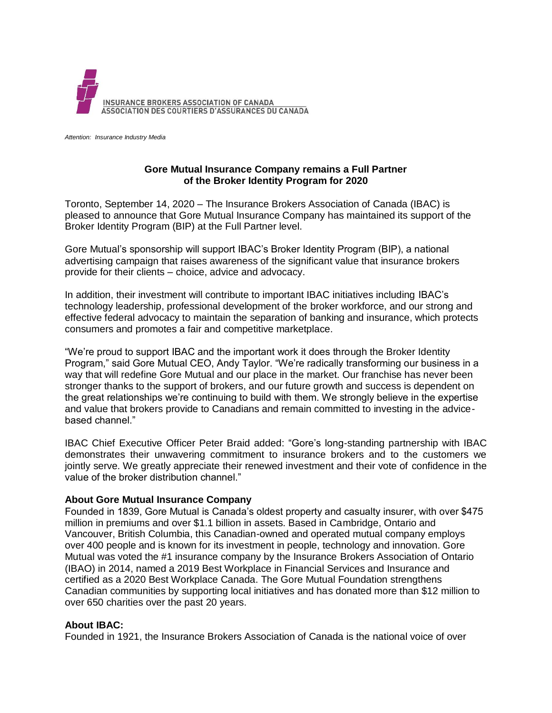

*Attention: Insurance Industry Media*

## **Gore Mutual Insurance Company remains a Full Partner of the Broker Identity Program for 2020**

Toronto, September 14, 2020 – The Insurance Brokers Association of Canada (IBAC) is pleased to announce that Gore Mutual Insurance Company has maintained its support of the Broker Identity Program (BIP) at the Full Partner level.

Gore Mutual's sponsorship will support IBAC's Broker Identity Program (BIP), a national advertising campaign that raises awareness of the significant value that insurance brokers provide for their clients – choice, advice and advocacy.

In addition, their investment will contribute to important IBAC initiatives including IBAC's technology leadership, professional development of the broker workforce, and our strong and effective federal advocacy to maintain the separation of banking and insurance, which protects consumers and promotes a fair and competitive marketplace.

"We're proud to support IBAC and the important work it does through the Broker Identity Program," said Gore Mutual CEO, Andy Taylor. "We're radically transforming our business in a way that will redefine Gore Mutual and our place in the market. Our franchise has never been stronger thanks to the support of brokers, and our future growth and success is dependent on the great relationships we're continuing to build with them. We strongly believe in the expertise and value that brokers provide to Canadians and remain committed to investing in the advicebased channel."

IBAC Chief Executive Officer Peter Braid added: "Gore's long-standing partnership with IBAC demonstrates their unwavering commitment to insurance brokers and to the customers we jointly serve. We greatly appreciate their renewed investment and their vote of confidence in the value of the broker distribution channel."

## **About Gore Mutual Insurance Company**

Founded in 1839, Gore Mutual is Canada's oldest property and casualty insurer, with over \$475 million in premiums and over \$1.1 billion in assets. Based in Cambridge, Ontario and Vancouver, British Columbia, this Canadian-owned and operated mutual company employs over 400 people and is known for its investment in people, technology and innovation. Gore Mutual was voted the #1 insurance company by the Insurance Brokers Association of Ontario (IBAO) in 2014, named a 2019 Best Workplace in Financial Services and Insurance and certified as a 2020 Best Workplace Canada. The Gore Mutual Foundation strengthens Canadian communities by supporting local initiatives and has donated more than \$12 million to over 650 charities over the past 20 years.

## **About IBAC:**

Founded in 1921, the Insurance Brokers Association of Canada is the national voice of over